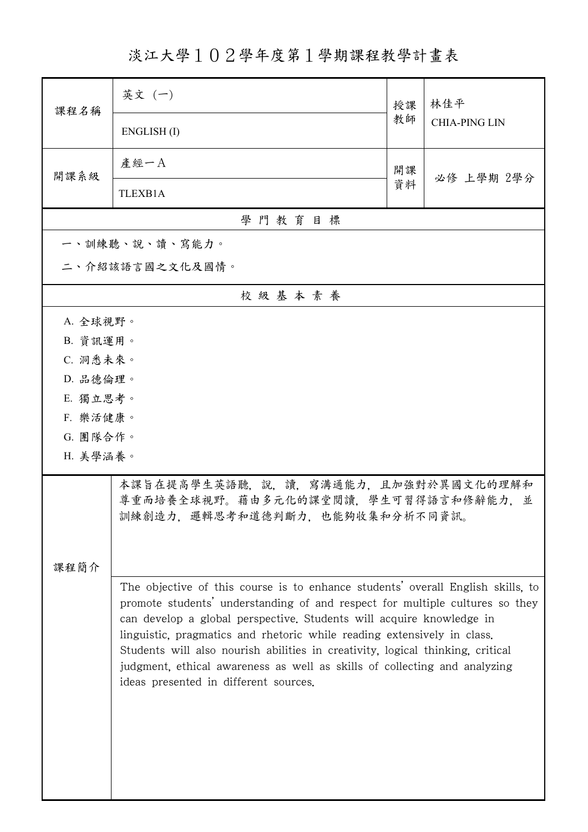淡江大學102學年度第1學期課程教學計畫表

| 课程名稱                 | 英文 (一)                                                                                                                                                                                                                                                                                                                                                                                                                                                                                                                     | 授課 | 林佳平<br><b>CHIA-PING LIN</b> |  |
|----------------------|----------------------------------------------------------------------------------------------------------------------------------------------------------------------------------------------------------------------------------------------------------------------------------------------------------------------------------------------------------------------------------------------------------------------------------------------------------------------------------------------------------------------------|----|-----------------------------|--|
|                      | ENGLISH(I)                                                                                                                                                                                                                                                                                                                                                                                                                                                                                                                 | 教師 |                             |  |
| 開課系級                 | 產經一A                                                                                                                                                                                                                                                                                                                                                                                                                                                                                                                       | 開課 | 必修 上學期 2學分                  |  |
|                      | TLEXB1A                                                                                                                                                                                                                                                                                                                                                                                                                                                                                                                    | 資料 |                             |  |
| 學門教育目標               |                                                                                                                                                                                                                                                                                                                                                                                                                                                                                                                            |    |                             |  |
|                      | 一、訓練聽、說、讀、寫能力。                                                                                                                                                                                                                                                                                                                                                                                                                                                                                                             |    |                             |  |
|                      | 二、介紹該語言國之文化及國情。                                                                                                                                                                                                                                                                                                                                                                                                                                                                                                            |    |                             |  |
| 校級基本素養               |                                                                                                                                                                                                                                                                                                                                                                                                                                                                                                                            |    |                             |  |
| A. 全球視野。             |                                                                                                                                                                                                                                                                                                                                                                                                                                                                                                                            |    |                             |  |
| B. 資訊運用。             |                                                                                                                                                                                                                                                                                                                                                                                                                                                                                                                            |    |                             |  |
| C. 洞悉未來。             |                                                                                                                                                                                                                                                                                                                                                                                                                                                                                                                            |    |                             |  |
| D. 品德倫理。             |                                                                                                                                                                                                                                                                                                                                                                                                                                                                                                                            |    |                             |  |
| E. 獨立思考。<br>F. 樂活健康。 |                                                                                                                                                                                                                                                                                                                                                                                                                                                                                                                            |    |                             |  |
| G. 團隊合作。             |                                                                                                                                                                                                                                                                                                                                                                                                                                                                                                                            |    |                             |  |
| H. 美學涵養。             |                                                                                                                                                                                                                                                                                                                                                                                                                                                                                                                            |    |                             |  |
|                      |                                                                                                                                                                                                                                                                                                                                                                                                                                                                                                                            |    |                             |  |
|                      | 本課旨在提高學生英語聽,說,讀,寫溝通能力,且加強對於異國文化的理解和<br>尊重而培養全球視野。藉由多元化的課堂閱讀,學生可習得語言和修辭能力,並<br>訓練創造力,邏輯思考和道德判斷力,也能夠收集和分析不同資訊。                                                                                                                                                                                                                                                                                                                                                                                                               |    |                             |  |
|                      |                                                                                                                                                                                                                                                                                                                                                                                                                                                                                                                            |    |                             |  |
| 課程簡介                 |                                                                                                                                                                                                                                                                                                                                                                                                                                                                                                                            |    |                             |  |
|                      | The objective of this course is to enhance students' overall English skills, to<br>promote students' understanding of and respect for multiple cultures so they<br>can develop a global perspective. Students will acquire knowledge in<br>linguistic, pragmatics and rhetoric while reading extensively in class.<br>Students will also nourish abilities in creativity, logical thinking, critical<br>judgment, ethical awareness as well as skills of collecting and analyzing<br>ideas presented in different sources. |    |                             |  |
|                      |                                                                                                                                                                                                                                                                                                                                                                                                                                                                                                                            |    |                             |  |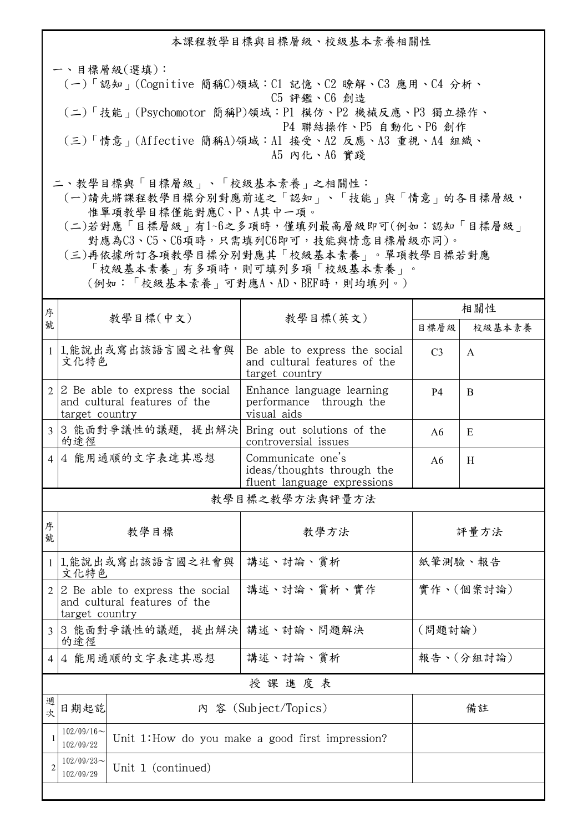本課程教學目標與目標層級、校級基本素養相關性

一、目標層級(選填): (一)「認知」(Cognitive 簡稱C)領域:C1 記憶、C2 瞭解、C3 應用、C4 分析、 C5 評鑑、C6 創造 (二)「技能」(Psychomotor 簡稱P)領域:P1 模仿、P2 機械反應、P3 獨立操作、 P4 聯結操作、P5 自動化、P6 創作 (三)「情意」(Affective 簡稱A)領域:A1 接受、A2 反應、A3 重視、A4 組織、 A5 內化、A6 實踐

二、教學目標與「目標層級」、「校級基本素養」之相關性:

 (一)請先將課程教學目標分別對應前述之「認知」、「技能」與「情意」的各目標層級, 惟單項教學目標僅能對應C、P、A其中一項。

 (二)若對應「目標層級」有1~6之多項時,僅填列最高層級即可(例如:認知「目標層級」 對應為C3、C5、C6項時,只需填列C6即可,技能與情意目標層級亦同)。

 (三)再依據所訂各項教學目標分別對應其「校級基本素養」。單項教學目標若對應 「校級基本素養」有多項時,則可填列多項「校級基本素養」。 (例如:「校級基本素養」可對應A、AD、BEF時,則均填列。)

| 序                   |                                                                                   |                                                                 |                                                                                 | 相關性                 |           |  |
|---------------------|-----------------------------------------------------------------------------------|-----------------------------------------------------------------|---------------------------------------------------------------------------------|---------------------|-----------|--|
| 號                   |                                                                                   | 教學目標(中文)<br>教學目標(英文)                                            |                                                                                 | 目標層級                | 校級基本素養    |  |
| $\mathbf{1}$        | 文化特色                                                                              | 1.能說出或寫出該語言國之社會與                                                | Be able to express the social<br>and cultural features of the<br>target country | C <sub>3</sub><br>A |           |  |
| 2                   | target country                                                                    | 2 Be able to express the social<br>and cultural features of the | Enhance language learning<br>performance through the<br>visual aids             | <b>P4</b>           | B         |  |
| $\overline{3}$      | 的途徑                                                                               | 3 能面對爭議性的議題, 提出解決                                               | Bring out solutions of the<br>controversial issues                              | A6                  | E         |  |
| $\overline{4}$      | 4 能用通順的文字表達其思想                                                                    |                                                                 | Communicate one's<br>ideas/thoughts through the<br>fluent language expressions  | A6                  | H         |  |
| 教學目標之教學方法與評量方法      |                                                                                   |                                                                 |                                                                                 |                     |           |  |
| 序<br>號              | 教學目標                                                                              |                                                                 | 教學方法                                                                            | 評量方法                |           |  |
| $\mathbf{1}$        | 1.能說出或寫出該語言國之社會與<br>文化特色                                                          |                                                                 | 講述、討論、賞析                                                                        | 紙筆測驗、報告             |           |  |
| $\overline{2}$      | 2 Be able to express the social<br>and cultural features of the<br>target country |                                                                 | 講述、討論、賞析、實作                                                                     |                     | 實作、(個案討論) |  |
| $\overline{3}$      | 3 能面對爭議性的議題, 提出解決 講述、討論、問題解決<br>的途徑                                               |                                                                 |                                                                                 | (問題討論)              |           |  |
| 4 能用通順的文字表達其思想<br>4 |                                                                                   | 講述、討論、賞析                                                        |                                                                                 | 報告、(分組討論)           |           |  |
| 授課進度表               |                                                                                   |                                                                 |                                                                                 |                     |           |  |
| 週<br>次              | 日期起訖                                                                              |                                                                 | 内 容 (Subject/Topics)                                                            |                     | 備註        |  |
| $\mathbf{1}$        | $102/09/16 \sim$<br>102/09/22                                                     |                                                                 | Unit 1: How do you make a good first impression?                                |                     |           |  |
| $\overline{c}$      | $102/09/23$ ~<br>102/09/29                                                        | Unit 1 (continued)                                              |                                                                                 |                     |           |  |
|                     |                                                                                   |                                                                 |                                                                                 |                     |           |  |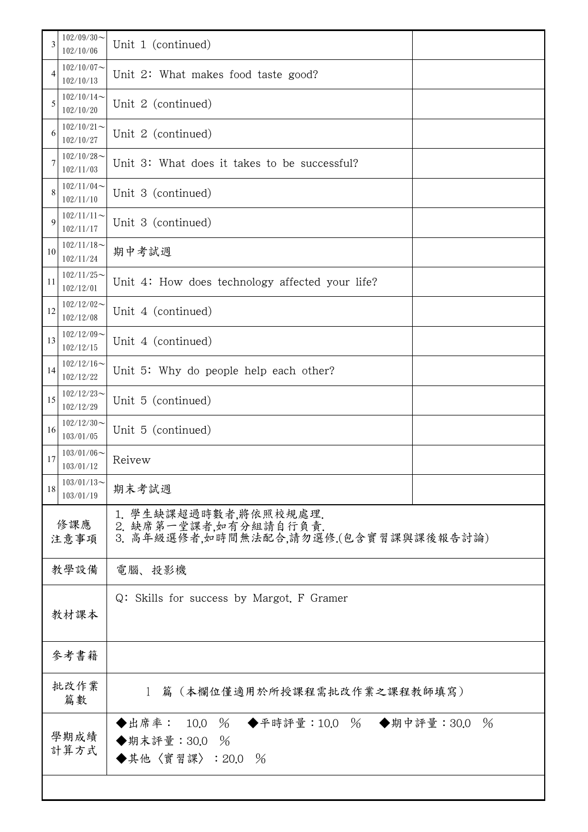| 3            | $102/09/30$ ~<br>102/10/06    | Unit 1 (continued)                                                                      |               |  |
|--------------|-------------------------------|-----------------------------------------------------------------------------------------|---------------|--|
| 4            | $102/10/07$ ~<br>102/10/13    | Unit 2: What makes food taste good?                                                     |               |  |
| 5            | $102/10/14$ ~<br>102/10/20    | Unit 2 (continued)                                                                      |               |  |
| 6            | $102/10/21$ ~<br>102/10/27    | Unit 2 (continued)                                                                      |               |  |
| 7            | $102/10/28$ ~<br>102/11/03    | Unit 3: What does it takes to be successful?                                            |               |  |
| 8            | $102/11/04$ ~<br>102/11/10    | Unit 3 (continued)                                                                      |               |  |
| 9            | $102/11/11$ ~<br>102/11/17    | Unit 3 (continued)                                                                      |               |  |
| 10           | $102/11/18$ ~<br>102/11/24    | 期中考試週                                                                                   |               |  |
| 11           | $102/11/25$ ~<br>102/12/01    | Unit 4: How does technology affected your life?                                         |               |  |
| 12           | $102/12/02$ ~<br>102/12/08    | Unit 4 (continued)                                                                      |               |  |
| 13           | $102/12/09$ ~<br>102/12/15    | Unit 4 (continued)                                                                      |               |  |
| 14           | $102/12/16 \sim$<br>102/12/22 | Unit 5: Why do people help each other?                                                  |               |  |
| 15           | $102/12/23$ ~<br>102/12/29    | Unit 5 (continued)                                                                      |               |  |
| 16           | $102/12/30$ ~<br>103/01/05    | Unit 5 (continued)                                                                      |               |  |
| 17           | $103/01/06$ ~<br>103/01/12    | Reivew                                                                                  |               |  |
| 18           | $103/01/13$ ~<br>103/01/19    | 期末考試週                                                                                   |               |  |
| 修課應<br>注意事項  |                               | 1. 學生缺課超過時數者,將依照校規處理.<br>2. 缺席第一堂課者,如有分組請自行負責.<br>3. 高年級選修者,如時間無法配合,請勿選修.(包含實習課與課後報告討論) |               |  |
|              | 教學設備                          | 電腦、投影機                                                                                  |               |  |
|              | 教材課本                          | Q: Skills for success by Margot. F Gramer                                               |               |  |
|              | 參考書籍                          |                                                                                         |               |  |
| 批改作業<br>篇數   |                               | 篇(本欄位僅適用於所授課程需批改作業之課程教師填寫)<br>$\mathbf{1}$                                              |               |  |
| 學期成績<br>計算方式 |                               | ◆出席率: 10.0 % ◆平時評量:10.0 % ◆期中評量:30.0<br>◆期末評量: 30.0<br>$\%$<br>◆其他〈實習課〉: 20.0 %         | $\frac{0}{6}$ |  |
|              |                               |                                                                                         |               |  |